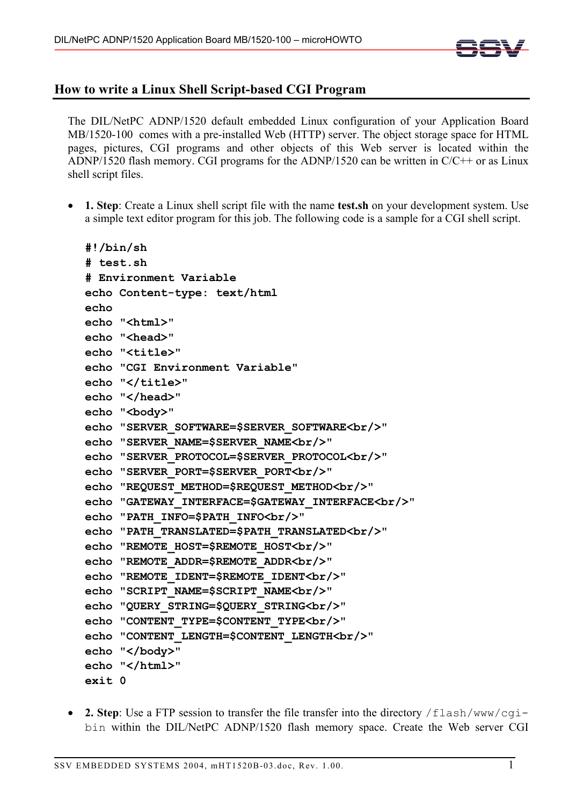

## **How to write a Linux Shell Script-based CGI Program**

The DIL/NetPC ADNP/1520 default embedded Linux configuration of your Application Board MB/1520-100 comes with a pre-installed Web (HTTP) server. The object storage space for HTML pages, pictures, CGI programs and other objects of this Web server is located within the ADNP/1520 flash memory. CGI programs for the ADNP/1520 can be written in C/C++ or as Linux shell script files.

• **1. Step**: Create a Linux shell script file with the name **test.sh** on your development system. Use a simple text editor program for this job. The following code is a sample for a CGI shell script.

```
#!/bin/sh 
# test.sh 
# Environment Variable 
echo Content-type: text/html 
echo 
echo "<html>" 
echo "<head>"
echo "<title>" 
echo "CGI Environment Variable" 
echo "</title>"
echo "</head>" 
echo "<br/>body>"
echo "SERVER_SOFTWARE=$SERVER_SOFTWARE<br/>" 
echo "SERVER_NAME=$SERVER_NAME<br/>" 
echo "SERVER_PROTOCOL=$SERVER_PROTOCOL<br/>" 
echo "SERVER_PORT=$SERVER_PORT<br/>" 
echo "REQUEST_METHOD=$REQUEST_METHOD<br/>" 
echo "GATEWAY_INTERFACE=$GATEWAY_INTERFACE<br/>" 
echo "PATH_INFO=$PATH_INFO<br/>" 
echo "PATH_TRANSLATED=$PATH_TRANSLATED<br/>" 
echo "REMOTE_HOST=$REMOTE_HOST<br/>" 
echo "REMOTE_ADDR=$REMOTE_ADDR<br/>" 
echo "REMOTE_IDENT=$REMOTE_IDENT<br/>" 
echo "SCRIPT_NAME=$SCRIPT_NAME<br/>" 
echo "QUERY_STRING=$QUERY_STRING<br/>" 
echo "CONTENT_TYPE=$CONTENT_TYPE<br/>" 
echo "CONTENT_LENGTH=$CONTENT_LENGTH<br/>" 
echo "</body>" 
echo "</html>" 
exit 0
```
• 2. Step: Use a FTP session to transfer the file transfer into the directory /flash/www/cqibin within the DIL/NetPC ADNP/1520 flash memory space. Create the Web server CGI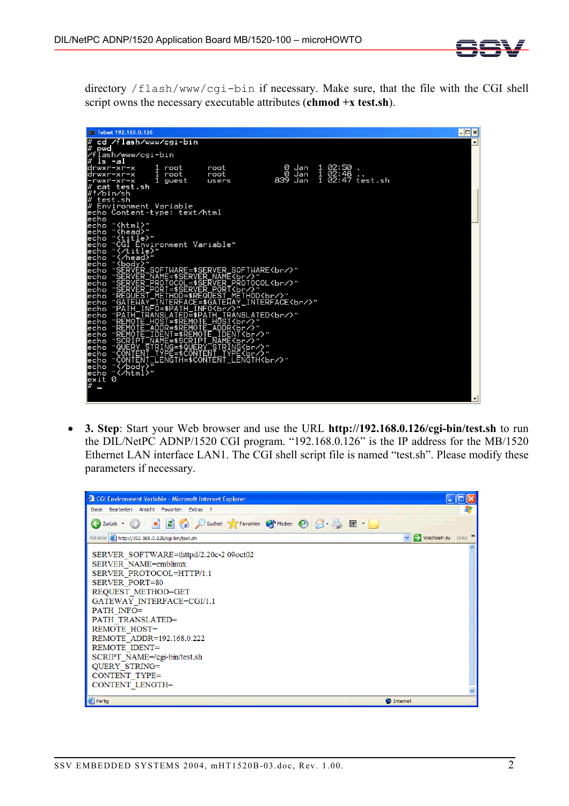

directory /flash/www/cgi-bin if necessary. Make sure, that the file with the CGI shell script owns the necessary executable attributes (**chmod +x test.sh**).

| <sup>ox</sup> Telnet 192.168.0.126                                                                                                                                    | l-⊡ ×               |
|-----------------------------------------------------------------------------------------------------------------------------------------------------------------------|---------------------|
| cd /flash/www/cgi-bin                                                                                                                                                 | $\blacktriangle$    |
| pwd<br>/flash/www/cgi-bin                                                                                                                                             |                     |
| <u>ls -al</u>                                                                                                                                                         |                     |
| 1 02:50 .<br>1 02:48<br>1 02:47 test.sh<br>0 Jan<br>drwxr-xr-x<br>1 root<br>root                                                                                      |                     |
| Ø<br>Jan<br>1<br>root<br>root<br>drwxr-xr-x<br>839 Jan<br>1 guest<br>-rwxr-xr-x<br>users                                                                              |                     |
| cat test.sh                                                                                                                                                           |                     |
| /#!⁄bin⁄sh                                                                                                                                                            |                     |
| l#<br>test.sh<br># Environment Variable                                                                                                                               |                     |
| echo Content-type: text∕html                                                                                                                                          |                     |
| lecho                                                                                                                                                                 |                     |
| echo "{html}"<br>echo "{head}"<br>echo " <u>{ti</u> t <u>l</u> e}"                                                                                                    |                     |
|                                                                                                                                                                       |                     |
| echo "CGI Environment Variable"                                                                                                                                       |                     |
| echo "{/title}"<br>echo "{/head}"                                                                                                                                     |                     |
| echo " <body>"</body>                                                                                                                                                 |                     |
| echo "SERVER_SOFIWARE=\$SERVER_SOFTWARE<br>>"                                                                                                                         |                     |
|                                                                                                                                                                       |                     |
|                                                                                                                                                                       |                     |
|                                                                                                                                                                       |                     |
| echo "GATEWAY_INTERFACE=\$GATEWAY_INTERFACE<br>"<br>echo "PAIH_INFO=\$PAIH_INFO<br>"                                                                                  |                     |
| echo "PATH_TRANSLATED=\$PATH_TRANSLATED<br>"<br>echo " <u>REMOTE_HOST=\$REMOTE_HOST</u><br>br/?"                                                                      |                     |
|                                                                                                                                                                       |                     |
| echo "REMOTE_ADDR=\$REMOTE_ADDR\5r/><br>echo "REMOTE_IDENT=\$REMOTE_IDENT<br>>"<br>echo "SCRIPT_NAME=\$SCRIPT_NAME\br/>"<br>echo "SCRIPT_NAME=\$SCRIPT_NAME\br/>"<br> |                     |
|                                                                                                                                                                       |                     |
|                                                                                                                                                                       |                     |
|                                                                                                                                                                       |                     |
| echo ""                                                                                                                                                               |                     |
| "<∕html>"<br>echo<br>Ø<br>exit                                                                                                                                        |                     |
| l#<br>I                                                                                                                                                               |                     |
|                                                                                                                                                                       | $\vert \cdot \vert$ |

• **3. Step**: Start your Web browser and use the URL **http://192.168.0.126/cgi-bin/test.sh** to run the DIL/NetPC ADNP/1520 CGI program. "192.168.0.126" is the IP address for the MB/1520 Ethernet LAN interface LAN1. The CGI shell script file is named "test.sh". Please modify these parameters if necessary.

| CGI Environment Variable - Microsoft Internet Explorer                                                                                                                                                                                                                                                                                                                           |                        |
|----------------------------------------------------------------------------------------------------------------------------------------------------------------------------------------------------------------------------------------------------------------------------------------------------------------------------------------------------------------------------------|------------------------|
| Datei Bearbeiten Ansicht Favoriten Extras ?                                                                                                                                                                                                                                                                                                                                      | н.                     |
| G Zurück · () · x 3 4 0 Suchen & Favoriten @ Medien @ 3 & M ·                                                                                                                                                                                                                                                                                                                    |                        |
| Adresse   http://192.168.0.126/cgi-bin/test.sh                                                                                                                                                                                                                                                                                                                                   | → Wechseln zu Links >> |
| SERVER SOFTWARE=thttpd/2.20c-2 09oct02<br>SERVER NAME=emblinux<br>SERVER PROTOCOL=HTTP/1.1<br><b>SERVER PORT=80</b><br>REQUEST METHOD=GET<br>GATEWAY INTERFACE=CGI/1.1<br>PATH INFO=<br>PATH TRANSLATED=<br><b>REMOTE HOST=</b><br>REMOTE ADDR=192.168.0.222<br>REMOTE IDENT=<br>SCRIPT NAME=/cgi-bin/test.sh<br><b>QUERY STRING=</b><br>CONTENT TYPE=<br><b>CONTENT LENGTH=</b> |                        |
|                                                                                                                                                                                                                                                                                                                                                                                  |                        |
| <b>B</b> Fertig                                                                                                                                                                                                                                                                                                                                                                  | <b>M</b> Internet      |